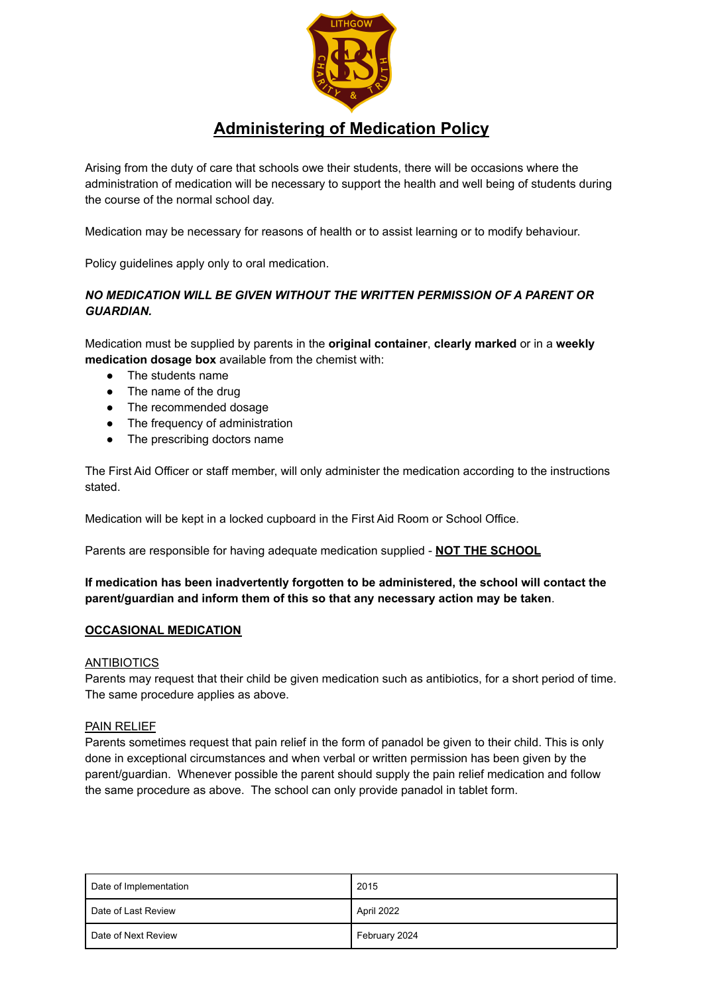

## **Administering of Medication Policy**

Arising from the duty of care that schools owe their students, there will be occasions where the administration of medication will be necessary to support the health and well being of students during the course of the normal school day.

Medication may be necessary for reasons of health or to assist learning or to modify behaviour.

Policy guidelines apply only to oral medication.

### *NO MEDICATION WILL BE GIVEN WITHOUT THE WRITTEN PERMISSION OF A PARENT OR GUARDIAN.*

Medication must be supplied by parents in the **original container**, **clearly marked** or in a **weekly medication dosage box** available from the chemist with:

- The students name
- The name of the drug
- The recommended dosage
- The frequency of administration
- The prescribing doctors name

The First Aid Officer or staff member, will only administer the medication according to the instructions stated.

Medication will be kept in a locked cupboard in the First Aid Room or School Office.

Parents are responsible for having adequate medication supplied - **NOT THE SCHOOL**

### **If medication has been inadvertently forgotten to be administered, the school will contact the parent/guardian and inform them of this so that any necessary action may be taken**.

#### **OCCASIONAL MEDICATION**

#### ANTIBIOTICS

Parents may request that their child be given medication such as antibiotics, for a short period of time. The same procedure applies as above.

#### PAIN RELIEF

Parents sometimes request that pain relief in the form of panadol be given to their child. This is only done in exceptional circumstances and when verbal or written permission has been given by the parent/guardian. Whenever possible the parent should supply the pain relief medication and follow the same procedure as above. The school can only provide panadol in tablet form.

| Date of Implementation | 2015          |
|------------------------|---------------|
| Date of Last Review    | April 2022    |
| Date of Next Review    | February 2024 |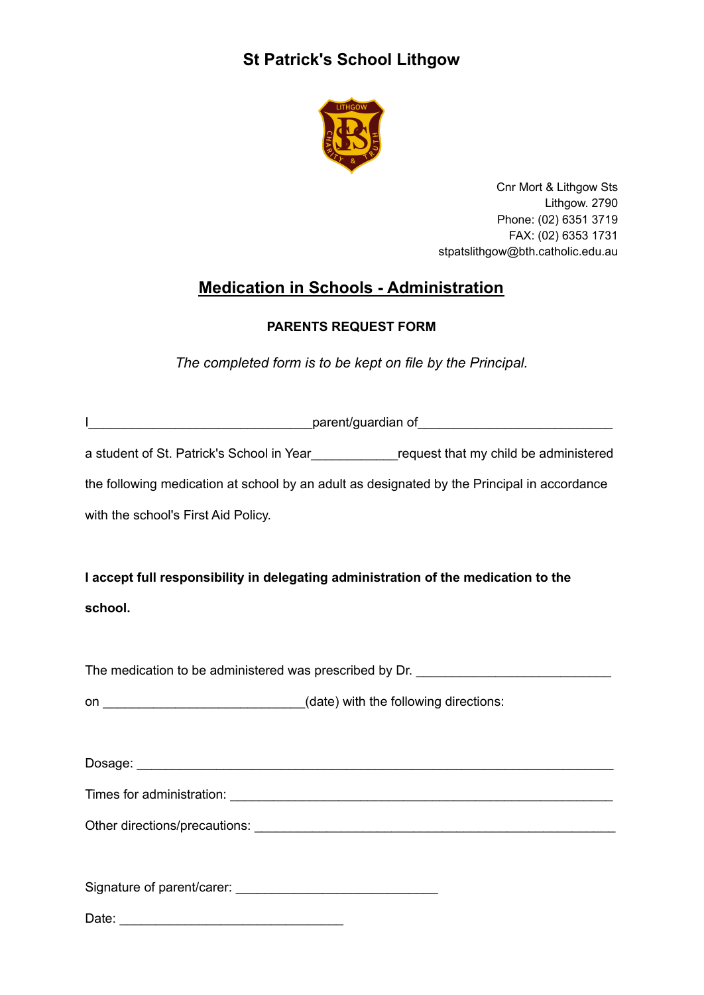# **St Patrick's School Lithgow**



Cnr Mort & Lithgow Sts Lithgow. 2790 Phone: (02) 6351 3719 FAX: (02) 6353 1731 stpatslithgow@bth.catholic.edu.au

# **Medication in Schools - Administration**

### **PARENTS REQUEST FORM**

*The completed form is to be kept on file by the Principal.*

| L                                                                                            |
|----------------------------------------------------------------------------------------------|
| a student of St. Patrick's School in Year______________request that my child be administered |
| the following medication at school by an adult as designated by the Principal in accordance  |
| with the school's First Aid Policy.                                                          |
|                                                                                              |
| I accept full responsibility in delegating administration of the medication to the           |
| school.                                                                                      |
|                                                                                              |
| The medication to be administered was prescribed by Dr. ________________________             |
| on _______________________________(date) with the following directions:                      |
|                                                                                              |
|                                                                                              |
|                                                                                              |
|                                                                                              |
|                                                                                              |
|                                                                                              |
|                                                                                              |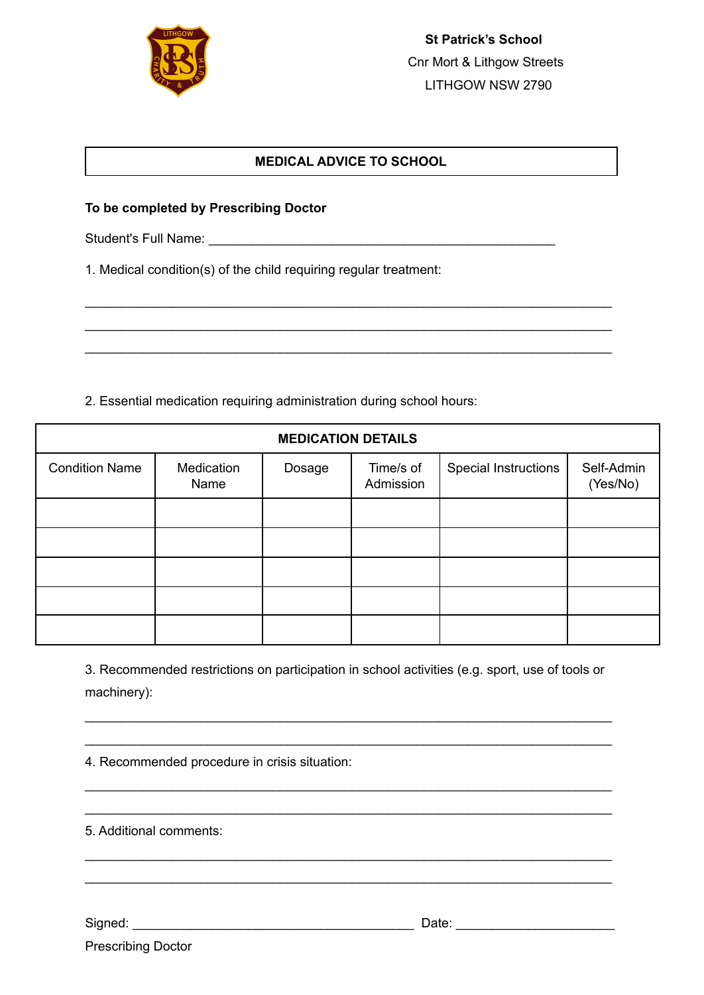

### **MEDICAL ADVICE TO SCHOOL**

\_\_\_\_\_\_\_\_\_\_\_\_\_\_\_\_\_\_\_\_\_\_\_\_\_\_\_\_\_\_\_\_\_\_\_\_\_\_\_\_\_\_\_\_\_\_\_\_\_\_\_\_\_\_\_\_\_\_\_\_\_\_\_\_\_\_\_\_\_\_\_\_\_ \_\_\_\_\_\_\_\_\_\_\_\_\_\_\_\_\_\_\_\_\_\_\_\_\_\_\_\_\_\_\_\_\_\_\_\_\_\_\_\_\_\_\_\_\_\_\_\_\_\_\_\_\_\_\_\_\_\_\_\_\_\_\_\_\_\_\_\_\_\_\_\_\_ \_\_\_\_\_\_\_\_\_\_\_\_\_\_\_\_\_\_\_\_\_\_\_\_\_\_\_\_\_\_\_\_\_\_\_\_\_\_\_\_\_\_\_\_\_\_\_\_\_\_\_\_\_\_\_\_\_\_\_\_\_\_\_\_\_\_\_\_\_\_\_\_\_

### **To be completed by Prescribing Doctor**

Student's Full Name: \_\_\_\_\_\_\_\_\_\_\_\_\_\_\_\_\_\_\_\_\_\_\_\_\_\_\_\_\_\_\_\_\_\_\_\_\_\_\_\_\_\_\_\_\_\_\_\_

1. Medical condition(s) of the child requiring regular treatment:

2. Essential medication requiring administration during school hours:

| <b>MEDICATION DETAILS</b> |                    |        |                        |                             |                        |  |
|---------------------------|--------------------|--------|------------------------|-----------------------------|------------------------|--|
| <b>Condition Name</b>     | Medication<br>Name | Dosage | Time/s of<br>Admission | <b>Special Instructions</b> | Self-Admin<br>(Yes/No) |  |
|                           |                    |        |                        |                             |                        |  |
|                           |                    |        |                        |                             |                        |  |
|                           |                    |        |                        |                             |                        |  |
|                           |                    |        |                        |                             |                        |  |
|                           |                    |        |                        |                             |                        |  |

3. Recommended restrictions on participation in school activities (e.g. sport, use of tools or machinery):

\_\_\_\_\_\_\_\_\_\_\_\_\_\_\_\_\_\_\_\_\_\_\_\_\_\_\_\_\_\_\_\_\_\_\_\_\_\_\_\_\_\_\_\_\_\_\_\_\_\_\_\_\_\_\_\_\_\_\_\_\_\_\_\_\_\_\_\_\_\_\_\_\_ \_\_\_\_\_\_\_\_\_\_\_\_\_\_\_\_\_\_\_\_\_\_\_\_\_\_\_\_\_\_\_\_\_\_\_\_\_\_\_\_\_\_\_\_\_\_\_\_\_\_\_\_\_\_\_\_\_\_\_\_\_\_\_\_\_\_\_\_\_\_\_\_\_

\_\_\_\_\_\_\_\_\_\_\_\_\_\_\_\_\_\_\_\_\_\_\_\_\_\_\_\_\_\_\_\_\_\_\_\_\_\_\_\_\_\_\_\_\_\_\_\_\_\_\_\_\_\_\_\_\_\_\_\_\_\_\_\_\_\_\_\_\_\_\_\_\_ \_\_\_\_\_\_\_\_\_\_\_\_\_\_\_\_\_\_\_\_\_\_\_\_\_\_\_\_\_\_\_\_\_\_\_\_\_\_\_\_\_\_\_\_\_\_\_\_\_\_\_\_\_\_\_\_\_\_\_\_\_\_\_\_\_\_\_\_\_\_\_\_\_

\_\_\_\_\_\_\_\_\_\_\_\_\_\_\_\_\_\_\_\_\_\_\_\_\_\_\_\_\_\_\_\_\_\_\_\_\_\_\_\_\_\_\_\_\_\_\_\_\_\_\_\_\_\_\_\_\_\_\_\_\_\_\_\_\_\_\_\_\_\_\_\_\_ \_\_\_\_\_\_\_\_\_\_\_\_\_\_\_\_\_\_\_\_\_\_\_\_\_\_\_\_\_\_\_\_\_\_\_\_\_\_\_\_\_\_\_\_\_\_\_\_\_\_\_\_\_\_\_\_\_\_\_\_\_\_\_\_\_\_\_\_\_\_\_\_\_

4. Recommended procedure in crisis situation:

5. Additional comments:

Signed: \_\_\_\_\_\_\_\_\_\_\_\_\_\_\_\_\_\_\_\_\_\_\_\_\_\_\_\_\_\_\_\_\_\_\_\_\_\_\_ Date: \_\_\_\_\_\_\_\_\_\_\_\_\_\_\_\_\_\_\_\_\_\_

Prescribing Doctor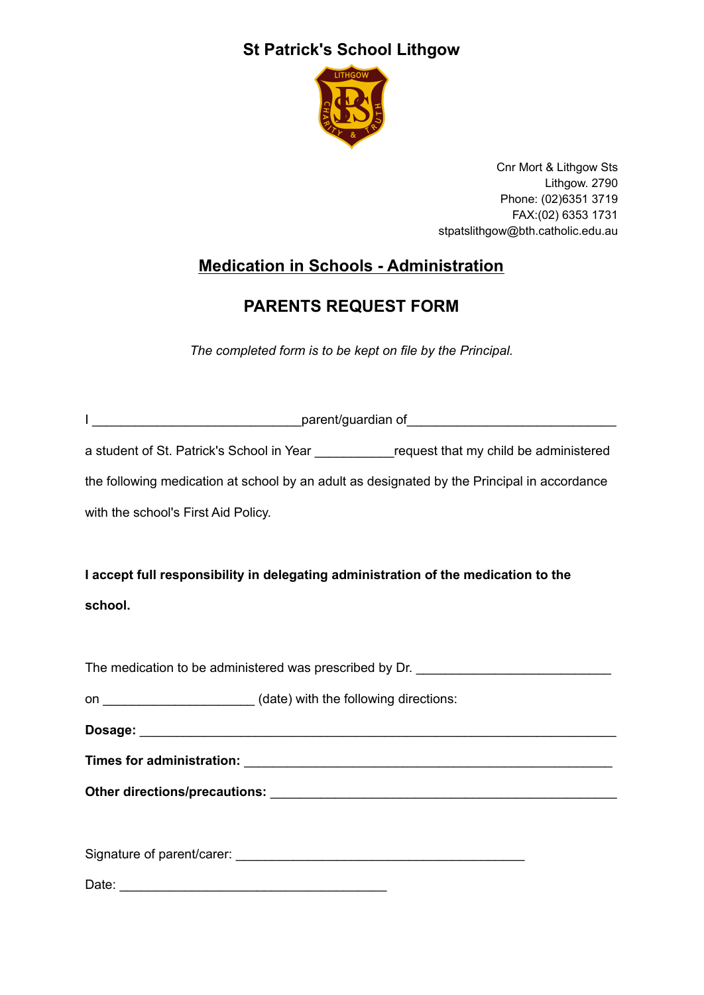# **St Patrick's School Lithgow**



Cnr Mort & Lithgow Sts Lithgow. 2790 Phone: (02)6351 3719 FAX:(02) 6353 1731 stpatslithgow@bth.catholic.edu.au

# **Medication in Schools - Administration**

# **PARENTS REQUEST FORM**

*The completed form is to be kept on file by the Principal.*

| a student of St. Patrick's School in Year ____________request that my child be administered |
|---------------------------------------------------------------------------------------------|
| the following medication at school by an adult as designated by the Principal in accordance |
| with the school's First Aid Policy.                                                         |
|                                                                                             |
| I accept full responsibility in delegating administration of the medication to the          |
| school.                                                                                     |
|                                                                                             |
| The medication to be administered was prescribed by Dr. ________________________            |
| on _________________________(date) with the following directions:                           |
|                                                                                             |
|                                                                                             |
|                                                                                             |
|                                                                                             |
|                                                                                             |
|                                                                                             |